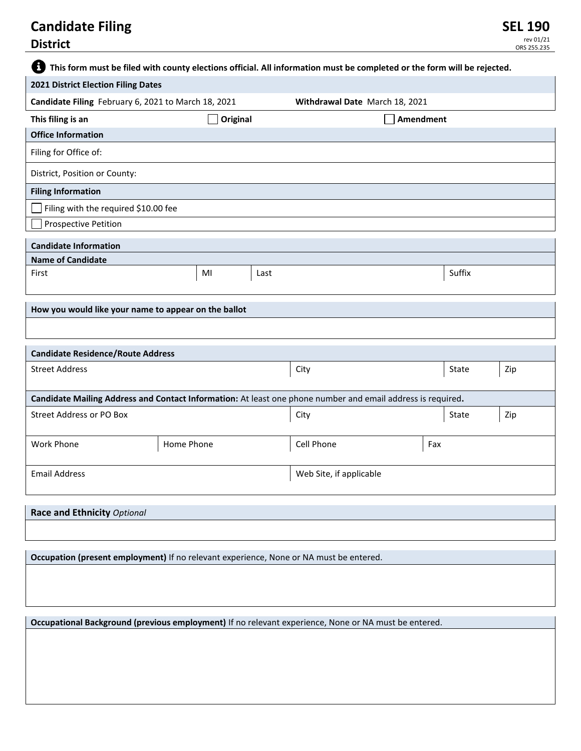| 8<br>This form must be filed with county elections official. All information must be completed or the form will be rejected. |            |    |                         |                                |     |        |     |  |
|------------------------------------------------------------------------------------------------------------------------------|------------|----|-------------------------|--------------------------------|-----|--------|-----|--|
| 2021 District Election Filing Dates                                                                                          |            |    |                         |                                |     |        |     |  |
| Candidate Filing February 6, 2021 to March 18, 2021                                                                          |            |    |                         | Withdrawal Date March 18, 2021 |     |        |     |  |
| This filing is an                                                                                                            | Original   |    |                         | Amendment                      |     |        |     |  |
| <b>Office Information</b>                                                                                                    |            |    |                         |                                |     |        |     |  |
| Filing for Office of:                                                                                                        |            |    |                         |                                |     |        |     |  |
| District, Position or County:                                                                                                |            |    |                         |                                |     |        |     |  |
| <b>Filing Information</b>                                                                                                    |            |    |                         |                                |     |        |     |  |
| Filing with the required \$10.00 fee                                                                                         |            |    |                         |                                |     |        |     |  |
| <b>Prospective Petition</b>                                                                                                  |            |    |                         |                                |     |        |     |  |
| <b>Candidate Information</b>                                                                                                 |            |    |                         |                                |     |        |     |  |
| <b>Name of Candidate</b>                                                                                                     |            |    |                         |                                |     |        |     |  |
| First                                                                                                                        |            | MI | Last                    |                                |     | Suffix |     |  |
| How you would like your name to appear on the ballot                                                                         |            |    |                         |                                |     |        |     |  |
|                                                                                                                              |            |    |                         |                                |     |        |     |  |
|                                                                                                                              |            |    |                         |                                |     |        |     |  |
| <b>Candidate Residence/Route Address</b>                                                                                     |            |    |                         |                                |     |        |     |  |
| <b>Street Address</b>                                                                                                        |            |    |                         | City                           |     | State  | Zip |  |
| Candidate Mailing Address and Contact Information: At least one phone number and email address is required.                  |            |    |                         |                                |     |        |     |  |
| Street Address or PO Box                                                                                                     |            |    |                         | City                           |     | State  | Zip |  |
| Work Phone                                                                                                                   | Home Phone |    |                         | Cell Phone                     | Fax |        |     |  |
| <b>Email Address</b>                                                                                                         |            |    | Web Site, if applicable |                                |     |        |     |  |
|                                                                                                                              |            |    |                         |                                |     |        |     |  |
| Race and Ethnicity Optional                                                                                                  |            |    |                         |                                |     |        |     |  |
|                                                                                                                              |            |    |                         |                                |     |        |     |  |
| Occupation (present employment) If no relevant experience, None or NA must be entered.                                       |            |    |                         |                                |     |        |     |  |
|                                                                                                                              |            |    |                         |                                |     |        |     |  |
|                                                                                                                              |            |    |                         |                                |     |        |     |  |
|                                                                                                                              |            |    |                         |                                |     |        |     |  |
| Occupational Background (previous employment) If no relevant experience, None or NA must be entered.                         |            |    |                         |                                |     |        |     |  |
|                                                                                                                              |            |    |                         |                                |     |        |     |  |
|                                                                                                                              |            |    |                         |                                |     |        |     |  |